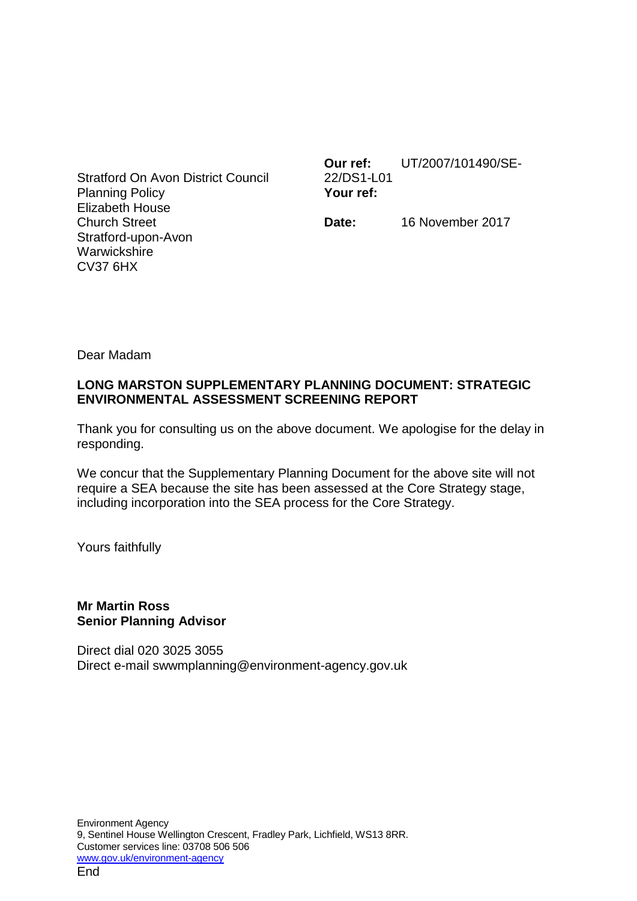Stratford On Avon District Council Planning Policy Elizabeth House Church Street Stratford-upon-Avon **Warwickshire** CV37 6HX

**Our ref:** UT/2007/101490/SE-22/DS1-L01 **Your ref:**

**Date:** 16 November 2017

Dear Madam

# **LONG MARSTON SUPPLEMENTARY PLANNING DOCUMENT: STRATEGIC ENVIRONMENTAL ASSESSMENT SCREENING REPORT**

Thank you for consulting us on the above document. We apologise for the delay in responding.

We concur that the Supplementary Planning Document for the above site will not require a SEA because the site has been assessed at the Core Strategy stage, including incorporation into the SEA process for the Core Strategy.

Yours faithfully

## **Mr Martin Ross Senior Planning Advisor**

Direct dial 020 3025 3055 Direct e-mail swwmplanning@environment-agency.gov.uk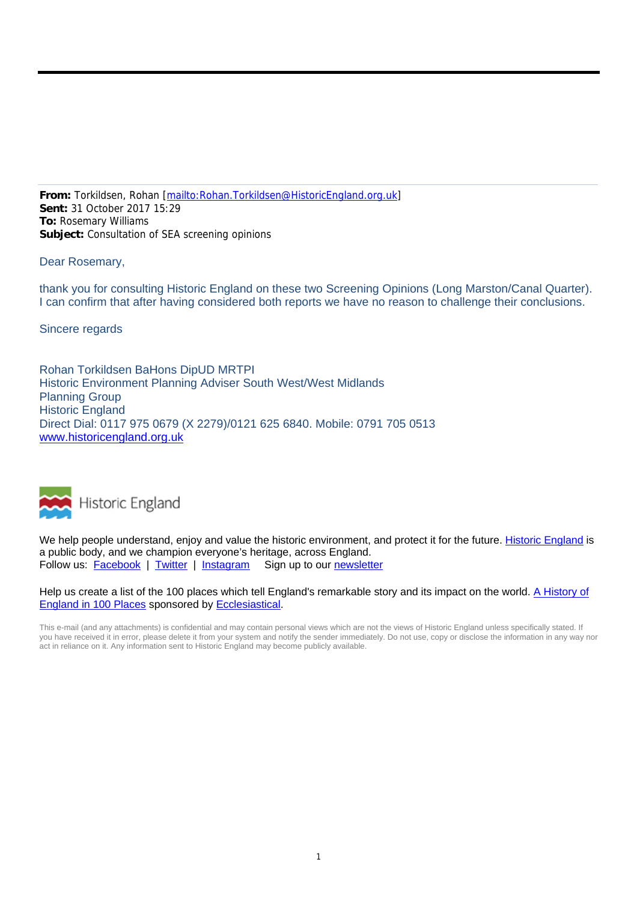**From:** Torkildsen, Rohan [mailto:Rohan.Torkildsen@HistoricEngland.org.uk] **Sent:** 31 October 2017 15:29 **To:** Rosemary Williams **Subject:** Consultation of SEA screening opinions

Dear Rosemary,

thank you for consulting Historic England on these two Screening Opinions (Long Marston/Canal Quarter). I can confirm that after having considered both reports we have no reason to challenge their conclusions.

Sincere regards

Rohan Torkildsen BaHons DipUD MRTPI Historic Environment Planning Adviser South West/West Midlands Planning Group Historic England Direct Dial: 0117 975 0679 (X 2279)/0121 625 6840. Mobile: 0791 705 0513 www.historicengland.org.uk



We help people understand, enjoy and value the historic environment, and protect it for the future. Historic England is a public body, and we champion everyone's heritage, across England. Follow us: Facebook | Twitter | Instagram Sign up to our newsletter

Help us create a list of the 100 places which tell England's remarkable story and its impact on the world. A History of England in 100 Places sponsored by Ecclesiastical.

This e-mail (and any attachments) is confidential and may contain personal views which are not the views of Historic England unless specifically stated. If you have received it in error, please delete it from your system and notify the sender immediately. Do not use, copy or disclose the information in any way nor act in reliance on it. Any information sent to Historic England may become publicly available.